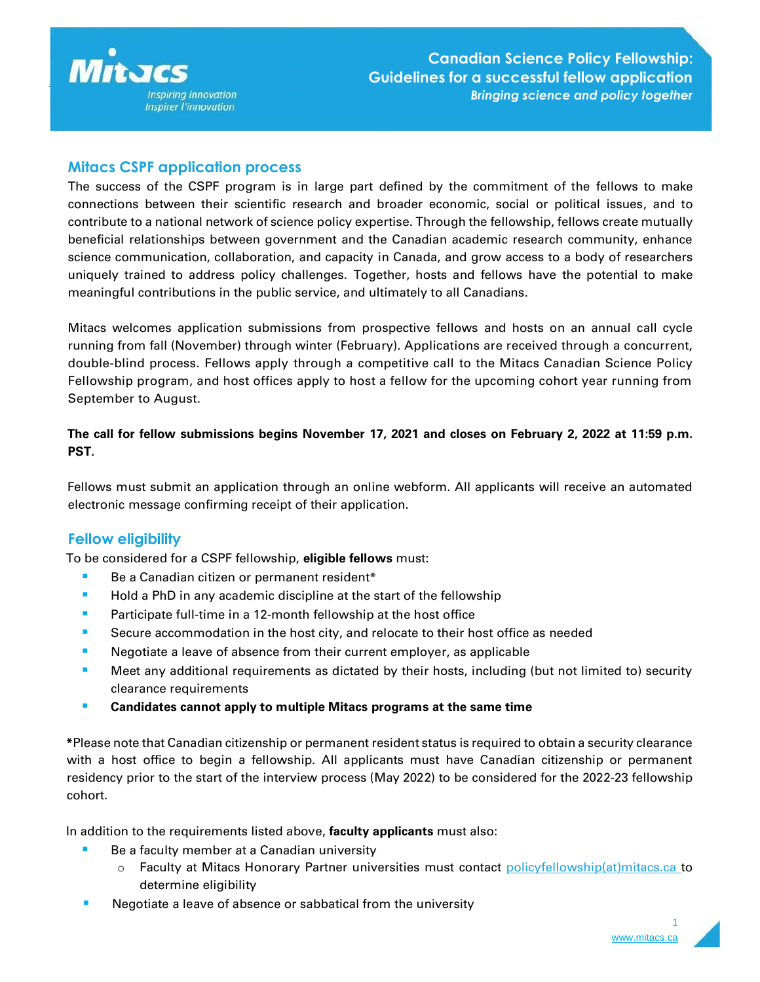

# **Mitacs CSPF application process**

The success of the CSPF program is in large part defined by the commitment of the fellows to make connections between their scientific research and broader economic, social or political issues, and to contribute to a national network of science policy expertise. Through the fellowship, fellows create mutually beneficial relationships between government and the Canadian academic research community, enhance science communication, collaboration, and capacity in Canada, and grow access to a body of researchers uniquely trained to address policy challenges. Together, hosts and fellows have the potential to make meaningful contributions in the public service, and ultimately to all Canadians.

Mitacs welcomes application submissions from prospective fellows and hosts on an annual call cycle running from fall (November) through winter (February). Applications are received through a concurrent, double-blind process. Fellows apply through a competitive call to the Mitacs Canadian Science Policy Fellowship program, and host offices apply to host a fellow for the upcoming cohort year running from September to August.

## **The call for fellow submissions begins November 17, 2021 and closes on February 2, 2022 at 11:59 p.m. PST.**

Fellows must submit an application through an online webform. All applicants will receive an automated electronic message confirming receipt of their application.

## **Fellow eligibility**

To be considered for a CSPF fellowship, **eligible fellows** must:

- Be a Canadian citizen or permanent resident\*
- Hold a PhD in any academic discipline at the start of the fellowship
- **EXECUTE:** Participate full-time in a 12-month fellowship at the host office
- **EXECUTE:** Secure accommodation in the host city, and relocate to their host office as needed
- Negotiate a leave of absence from their current employer, as applicable
- Meet any additional requirements as dictated by their hosts, including (but not limited to) security clearance requirements
- **Candidates cannot apply to multiple Mitacs programs at the same time**

**\***Please note that Canadian citizenship or permanent resident status is required to obtain a security clearance with a host office to begin a fellowship. All applicants must have Canadian citizenship or permanent residency prior to the start of the interview process (May 2022) to be considered for the 2022-23 fellowship cohort.

In addition to the requirements listed above, **faculty applicants** must also:

- Be a faculty member at a Canadian university
	- $\circ$  Faculty at Mitacs Honorary Partner universities must contact [policyfellowship\(at\)mitacs.ca](mailto:policyfellowship@mitacs.ca) to determine eligibility
- Negotiate a leave of absence or sabbatical from the university

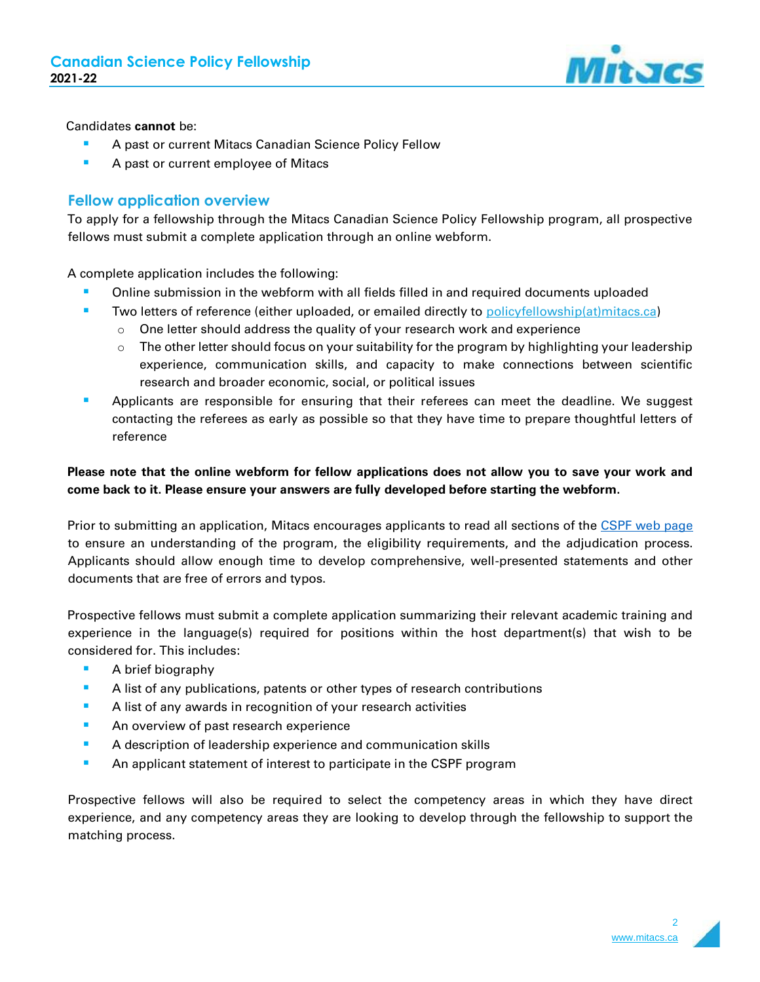

### Candidates **cannot** be:

- A past or current Mitacs Canadian Science Policy Fellow
- A past or current employee of Mitacs

## **Fellow application overview**

To apply for a fellowship through the Mitacs Canadian Science Policy Fellowship program, all prospective fellows must submit a complete application through an online webform.

A complete application includes the following:

- Online submission in the webform with all fields filled in and required documents uploaded
- **Two letters of reference (either uploaded, or emailed directly to [policyfellowship\(at\)mitacs.ca\)](mailto:policyfellowship@mitacs.ca)** 
	- $\circ$  One letter should address the quality of your research work and experience
	- $\circ$  The other letter should focus on your suitability for the program by highlighting your leadership experience, communication skills, and capacity to make connections between scientific research and broader economic, social, or political issues
- Applicants are responsible for ensuring that their referees can meet the deadline. We suggest contacting the referees as early as possible so that they have time to prepare thoughtful letters of reference

## **Please note that the online webform for fellow applications does not allow you to save your work and come back to it. Please ensure your answers are fully developed before starting the webform.**

Prior to submitting an application, Mitacs encourages applicants to read all sections of the [CSPF web page](https://www.mitacs.ca/en/programs/canadian-science-policy-fellowship) to ensure an understanding of the program, the eligibility requirements, and the adjudication process. Applicants should allow enough time to develop comprehensive, well-presented statements and other documents that are free of errors and typos.

Prospective fellows must submit a complete application summarizing their relevant academic training and experience in the language(s) required for positions within the host department(s) that wish to be considered for. This includes:

- A brief biography
- **EXTENT A list of any publications, patents or other types of research contributions**
- **EXTENUIFY A list of any awards in recognition of your research activities**
- **EXECUTE:** An overview of past research experience
- **EXECT** A description of leadership experience and communication skills
- **EXPLO An applicant statement of interest to participate in the CSPF program**

Prospective fellows will also be required to select the competency areas in which they have direct experience, and any competency areas they are looking to develop through the fellowship to support the matching process.

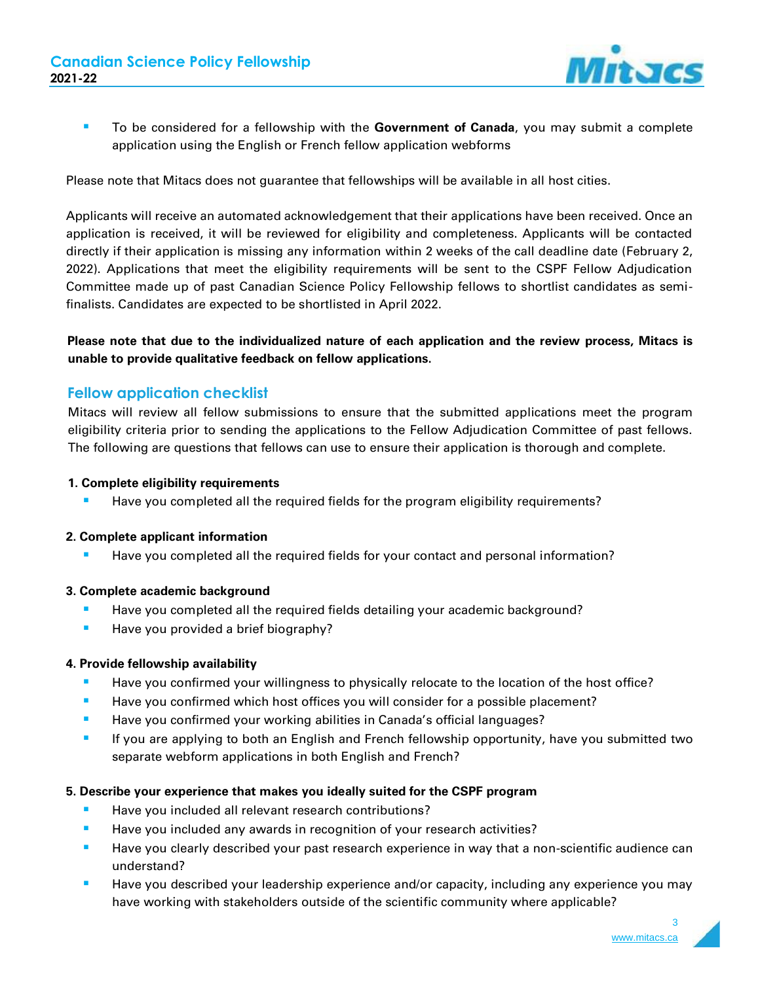

▪ To be considered for a fellowship with the **Government of Canada**, you may submit a complete application using the English or French fellow application webforms

Please note that Mitacs does not guarantee that fellowships will be available in all host cities.

Applicants will receive an automated acknowledgement that their applications have been received. Once an application is received, it will be reviewed for eligibility and completeness. Applicants will be contacted directly if their application is missing any information within 2 weeks of the call deadline date (February 2, 2022). Applications that meet the eligibility requirements will be sent to the CSPF Fellow Adjudication Committee made up of past Canadian Science Policy Fellowship fellows to shortlist candidates as semifinalists. Candidates are expected to be shortlisted in April 2022.

## **Please note that due to the individualized nature of each application and the review process, Mitacs is unable to provide qualitative feedback on fellow applications.**

## **Fellow application checklist**

Mitacs will review all fellow submissions to ensure that the submitted applications meet the program eligibility criteria prior to sending the applications to the Fellow Adjudication Committee of past fellows. The following are questions that fellows can use to ensure their application is thorough and complete.

#### **1. Complete eligibility requirements**

**E** Have you completed all the required fields for the program eligibility requirements?

#### **2. Complete applicant information**

**■** Have you completed all the required fields for your contact and personal information?

#### **3. Complete academic background**

- **E** Have you completed all the required fields detailing your academic background?
- Have you provided a brief biography?

### **4. Provide fellowship availability**

- **■** Have you confirmed your willingness to physically relocate to the location of the host office?
- **E** Have you confirmed which host offices you will consider for a possible placement?
- Have you confirmed your working abilities in Canada's official languages?
- **■** If you are applying to both an English and French fellowship opportunity, have you submitted two separate webform applications in both English and French?

### **5. Describe your experience that makes you ideally suited for the CSPF program**

- Have you included all relevant research contributions?
- Have you included any awards in recognition of your research activities?
- **EXT** Have you clearly described your past research experience in way that a non-scientific audience can understand?
- Have you described your leadership experience and/or capacity, including any experience you may have working with stakeholders outside of the scientific community where applicable?

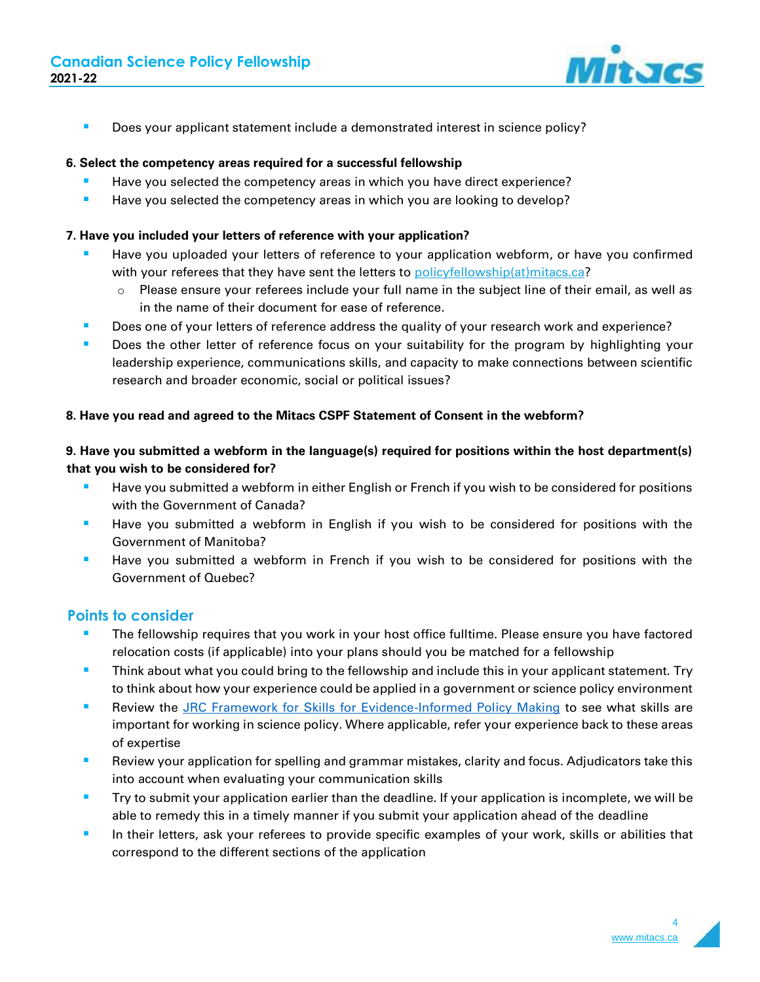

■ Does your applicant statement include a demonstrated interest in science policy?

### **6. Select the competency areas required for a successful fellowship**

- **E** Have you selected the competency areas in which you have direct experience?
- Have you selected the competency areas in which you are looking to develop?

### **7. Have you included your letters of reference with your application?**

- Have you uploaded your letters of reference to your application webform, or have you confirmed with your referees that they have sent the letters to [policyfellowship\(at\)mitacs.ca?](mailto:policyfellowship@mitacs.ca)
	- $\circ$  Please ensure your referees include your full name in the subject line of their email, as well as in the name of their document for ease of reference.
- **■** Does one of your letters of reference address the quality of your research work and experience?
- Does the other letter of reference focus on your suitability for the program by highlighting your leadership experience, communications skills, and capacity to make connections between scientific research and broader economic, social or political issues?

### **8. Have you read and agreed to the Mitacs CSPF Statement of Consent in the webform?**

## **9. Have you submitted a webform in the language(s) required for positions within the host department(s) that you wish to be considered for?**

- **E** Have you submitted a webform in either English or French if you wish to be considered for positions with the Government of Canada?
- **■** Have you submitted a webform in English if you wish to be considered for positions with the Government of Manitoba?
- **EXT** Have you submitted a webform in French if you wish to be considered for positions with the Government of Quebec?

## **Points to consider**

- The fellowship requires that you work in your host office fulltime. Please ensure you have factored relocation costs (if applicable) into your plans should you be matched for a fellowship
- **E** Think about what you could bring to the fellowship and include this in your applicant statement. Try to think about how your experience could be applied in a government or science policy environment
- Review the [JRC Framework for Skills for Evidence-Informed Policy Making](https://ec.europa.eu/jrc/communities/en/community/evidence4policy/news/framework-skills-evidence-informed-policy-making) to see what skills are important for working in science policy. Where applicable, refer your experience back to these areas of expertise
- Review your application for spelling and grammar mistakes, clarity and focus. Adjudicators take this into account when evaluating your communication skills
- Try to submit your application earlier than the deadline. If your application is incomplete, we will be able to remedy this in a timely manner if you submit your application ahead of the deadline
- **·** In their letters, ask your referees to provide specific examples of your work, skills or abilities that correspond to the different sections of the application